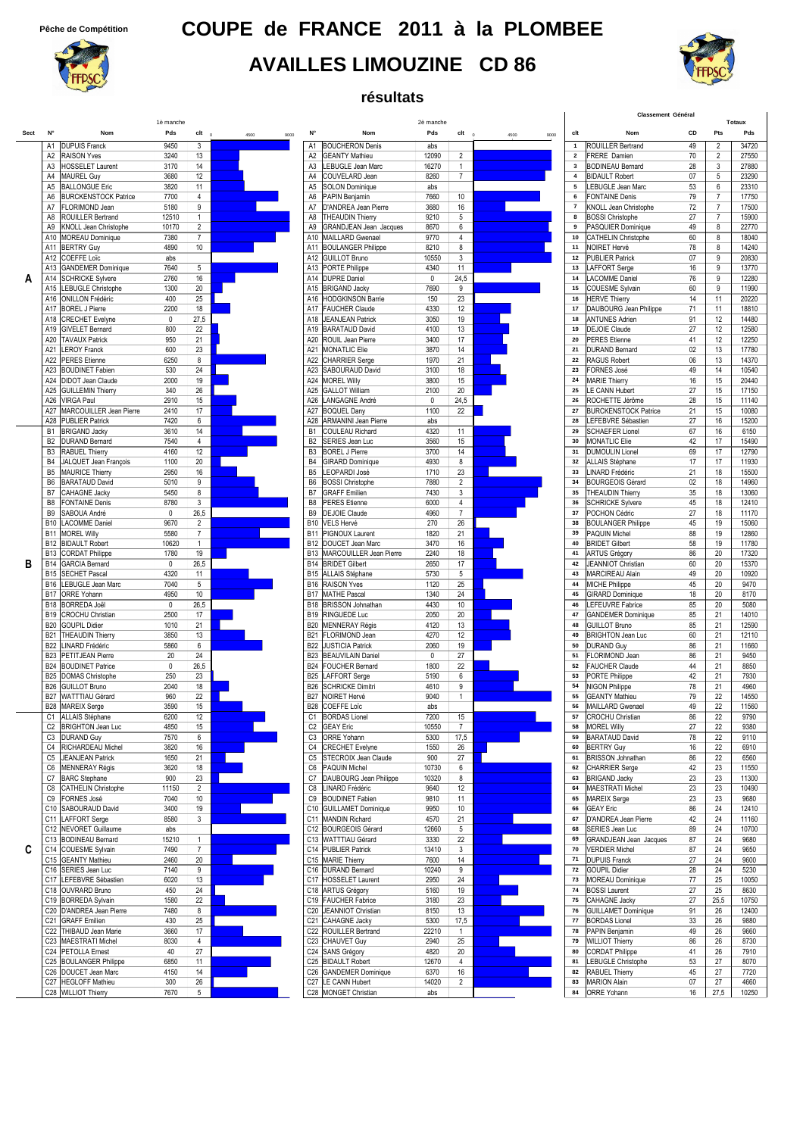## **Pêche de Compétition COUPE de FRANCE 2011 à la PLOMBEE**

### **AVAILLES LIMOUZINE CD 86**

**résultats**



|      |                                                                                          |                  |                                  |              |                                  |                                                     |                  |                      | Classement Général | Totaux                   |                                                  |          |                     |                |
|------|------------------------------------------------------------------------------------------|------------------|----------------------------------|--------------|----------------------------------|-----------------------------------------------------|------------------|----------------------|--------------------|--------------------------|--------------------------------------------------|----------|---------------------|----------------|
| Sect | N°<br>Nom                                                                                | 1è manche<br>Pds | $c$ It $_0$                      | 4500<br>9000 | N°                               | Nom                                                 | 2è manche<br>Pds | $clt \t 0$           | 4500<br>9000       | clt                      | Nom                                              | CD       | Pts                 | Pds            |
|      | <b>DUPUIS Franck</b><br>A1                                                               | 9450             | 3                                |              | A <sub>1</sub>                   | <b>BOUCHERON Denis</b>                              | abs              |                      |                    | $\mathbf{1}$             | ROUILLER Bertrand                                | 49       | $\overline{2}$      | 34720          |
|      | <b>RAISON Yves</b><br>A <sub>2</sub>                                                     | 3240             | 13                               |              | A <sub>2</sub>                   | <b>GEANTY Mathieu</b>                               | 12090            | $\overline{2}$       |                    | $\overline{\mathbf{2}}$  | <b>FRERE Damien</b>                              | 70       | 2                   | 27550          |
|      | <b>HOSSELET Laurent</b><br>A <sub>3</sub>                                                | 3170             | 14                               |              | A <sub>3</sub>                   | LEBUGLE Jean Marc                                   | 16270            | $\mathbf{1}$         |                    | $\mathbf{3}$             | <b>BODINEAU Bernard</b>                          | 28       | 3                   | 27880          |
|      | A <sub>4</sub><br><b>MAUREL Guy</b>                                                      | 3680             | 12                               |              | A4                               | COUVELARD Jean                                      | 8260             | $\overline{7}$       |                    | $\overline{4}$           | <b>BIDAULT Robert</b>                            | 07       | 5                   | 23290          |
|      | A <sub>5</sub><br><b>BALLONGUE Eric</b><br><b>BURCKENSTOCK Patrice</b><br>A <sub>6</sub> | 3820<br>7700     | 11<br>$\overline{4}$             |              | A <sub>5</sub><br>A6             | <b>SOLON Dominique</b><br>PAPIN Benjamin            | abs<br>7660      | 10 <sup>°</sup>      |                    | 5<br>6                   | LEBUGLE Jean Marc<br><b>FONTAINE Denis</b>       | 53<br>79 | 6<br>$\overline{7}$ | 23310<br>17750 |
|      | FLORIMOND Jean<br>A7                                                                     | 5180             | 9                                |              | A7                               | D'ANDREA Jean Pierre                                | 3680             | 16                   |                    | $\overline{\phantom{a}}$ | KNOLL Jean Christophe                            | 72       | $\overline{7}$      | 17500          |
|      | ROUILLER Bertrand<br>A <sub>8</sub>                                                      | 12510            | $\mathbf{1}$                     |              | A <sub>8</sub>                   | <b>THEAUDIN Thierry</b>                             | 9210             | 5                    |                    | 8                        | <b>BOSSI Christophe</b>                          | 27       | $\overline{7}$      | 15900          |
|      | KNOLL Jean Christophe<br>A <sub>9</sub>                                                  | 10170            | $\overline{2}$                   |              | A <sub>9</sub>                   | <b>GRANDJEAN Jean Jacques</b>                       | 8670             | 6                    |                    | $\mathbf{9}$             | PASQUIER Dominique                               | 49       | 8                   | 22770          |
|      | <b>MOREAU Dominique</b><br>A10                                                           | 7380             | $\overline{7}$                   |              | A10                              | <b>MAILLARD Gwenael</b>                             | 9770             | 4                    |                    | 10                       | CATHELIN Christophe                              | 60       | 8                   | 18040          |
|      | <b>BERTRY Guy</b><br>A11                                                                 | 4890             | 10                               |              | A11                              | <b>BOULANGER Philippe</b>                           | 8210             | 8                    |                    | 11                       | NOIRET Hervé                                     | 78       | 8                   | 14240          |
|      | <b>COEFFE Loïc</b><br>A12<br><b>GANDEMER Dominique</b><br>A13                            | abs<br>7640      | 5                                |              | A13                              | A12 GUILLOT Bruno<br><b>PORTE Philippe</b>          | 10550<br>4340    | 3<br>11              |                    | $12\,$<br>$13$           | <b>PUBLIER Patrick</b><br>LAFFORT Serge          | 07<br>16 | 9<br>9              | 20830<br>13770 |
| А    | A14<br><b>SCHRICKE Sylvere</b>                                                           | 2760             | 16                               |              | A14                              | <b>DUPRE Daniel</b>                                 | $\mathbf 0$      | 24,5                 |                    | 14                       | <b>LACOMME Daniel</b>                            | 76       | 9                   | 12280          |
|      | LEBUGLE Christophe<br>A15                                                                | 1300             | 20                               |              | A15                              | <b>BRIGAND Jacky</b>                                | 7690             | 9                    |                    | 15                       | <b>COUESME Sylvain</b>                           | 60       | 9                   | 11990          |
|      | <b>ONILLON Frédéric</b><br>A16                                                           | 400              | 25                               |              | A16                              | <b>HODGKINSON Barrie</b>                            | 150              | 23                   |                    | $16\,$                   | <b>HERVE Thierry</b>                             | 14       | 11                  | 20220          |
|      | A17<br><b>BOREL J Pierre</b>                                                             | 2200             | 18                               |              | A17                              | <b>FAUCHER Claude</b>                               | 4330             | 12                   |                    | 17                       | DAUBOURG Jean Philippe                           | 71       | 11                  | 18810          |
|      | A18<br><b>CRECHET</b> Evelyne                                                            | 0                | 27,5                             |              | A18                              | <b>JEANJEAN Patrick</b>                             | 3050             | 19                   |                    | 18<br>19                 | <b>ANTUNES Adrien</b>                            | 91       | 12                  | 14480          |
|      | <b>GIVELET Bernard</b><br>A19<br>A20<br><b>TAVAUX Patrick</b>                            | 800<br>950       | 22<br>21                         |              | A19<br>A20                       | <b>BARATAUD David</b><br>ROUIL Jean Pierre          | 4100<br>3400     | 13<br>17             |                    | 20                       | <b>DEJOIE Claude</b><br><b>PERES</b> Etienne     | 27<br>41 | 12<br>12            | 12580<br>12250 |
|      | A21 LEROY Franck                                                                         | 600              | 23                               |              | A21                              | <b>MONATLIC Elie</b>                                | 3870             | 14                   |                    | 21                       | <b>DURAND Bernard</b>                            | 02       | 13                  | 17780          |
|      | A22<br><b>PERES</b> Etienne                                                              | 6250             | 8                                |              | A22                              | <b>CHARRIER Serge</b>                               | 1970             | 21                   |                    | 22                       | <b>RAGUS Robert</b>                              | 06       | 13                  | 14370          |
|      | A23<br><b>BOUDINET Fabien</b>                                                            | 530              | 24                               |              | A23                              | SABOURAUD David                                     | 3100             | 18                   |                    | 23                       | <b>FORNES José</b>                               | 49       | 14                  | 10540          |
|      | A24<br><b>DIDOT Jean Claude</b>                                                          | 2000             | 19                               |              | A24                              | <b>MOREL Willy</b>                                  | 3800             | 15                   |                    | 24                       | <b>MARIE Thierry</b>                             | 16       | 15                  | 20440          |
|      | <b>GUILLEMIN Thierry</b><br>A25<br><b>VIRGA Paul</b><br>A26                              | 340<br>2910      | 26<br>15                         |              | A25<br>A26                       | <b>GALLOT William</b><br>LANGAGNE André             | 2100<br>0        | 20<br>24,5           |                    | 25<br>26                 | LE CANN Hubert<br>ROCHETTE Jérôme                | 27<br>28 | 15<br>15            | 17150<br>11140 |
|      | MARCOUILLER Jean Pierre<br>A27                                                           | 2410             | 17                               |              | A27                              | <b>BOQUEL Dany</b>                                  | 1100             | 22                   |                    | 27                       | <b>BURCKENSTOCK Patrice</b>                      | 21       | 15                  | 10080          |
|      | A28<br><b>PUBLIER Patrick</b>                                                            | 7420             | $\,6\,$                          |              | A28                              | ARMANINI Jean Pierre                                | abs              |                      |                    | 28                       | LEFEBVRE Sébastier                               | 27       | 16                  | 15200          |
|      | <b>BRIGAND Jacky</b><br><b>B1</b>                                                        | 3610             | 14                               |              | B <sub>1</sub>                   | COULEAU Richard                                     | 4320             | 11                   |                    | 29                       | <b>SCHAEFER Lionel</b>                           | 67       | 16                  | 6150           |
|      | <b>DURAND Bernard</b><br>B <sub>2</sub>                                                  | 7540             | $\overline{4}$                   |              | B <sub>2</sub>                   | SERIES Jean Luc                                     | 3560             | 15                   |                    | 30                       | <b>MONATLIC Elie</b>                             | 42       | 17                  | 15490          |
|      | <b>RABUEL Thierry</b><br>B <sub>3</sub><br>JALQUET Jean François<br><b>B4</b>            | 4160<br>1100     | 12<br>20                         |              | B <sub>3</sub><br>B <sub>4</sub> | <b>BOREL J Pierre</b><br><b>GIRARD Dominique</b>    | 3700<br>4930     | 14<br>8              |                    | 31<br>32                 | <b>DUMOULIN Lionel</b><br>ALLAIS Stéphane        | 69<br>17 | 17<br>17            | 12790<br>11930 |
|      | B <sub>5</sub><br><b>MAURICE Thierry</b>                                                 | 2950             | 16                               |              | B <sub>5</sub>                   | LEOPARDI José                                       | 1710             | 23                   |                    | 33                       | LINARD Frédéric                                  | 21       | 18                  | 15500          |
|      | <b>BARATAUD David</b><br>B <sub>6</sub>                                                  | 5010             | 9                                |              | B <sub>6</sub>                   | <b>BOSSI Christophe</b>                             | 7880             | $\overline{2}$       |                    | 34                       | <b>BOURGEOIS Gérard</b>                          | 02       | 18                  | 14960          |
|      | CAHAGNE Jacky<br>B7                                                                      | 5450             | 8                                |              | B7                               | <b>GRAFF</b> Emilien                                | 7430             | 3                    |                    | 35                       | <b>THEAUDIN Thierry</b>                          | 35       | 18                  | 13060          |
|      | B <sub>8</sub><br><b>FONTAINE Denis</b>                                                  | 8780             | 3                                |              | B <sub>8</sub>                   | <b>PERES</b> Etienne                                | 6000             | $\overline{4}$       |                    | 36                       | <b>SCHRICKE Sylvere</b>                          | 45       | 18                  | 12410          |
|      | B <sub>9</sub><br>SABOUA André                                                           | $\pmb{0}$        | 26,5                             |              | B <sub>9</sub>                   | <b>DEJOIE Claude</b>                                | 4960             | $\overline{7}$       |                    | 37<br>38                 | POCHON Cédric                                    | 27       | 18                  | 11170          |
|      | <b>LACOMME Daniel</b><br><b>B10</b><br><b>B11</b><br><b>MOREL Willy</b>                  | 9670<br>5580     | $\overline{2}$<br>$\overline{7}$ |              | <b>B10</b><br><b>B11</b>         | VELS Hervé<br>PIGNOUX Laurent                       | 270<br>1820      | 26<br>21             |                    | 39                       | <b>BOULANGER Philippe</b><br>PAQUIN Michel       | 45<br>88 | 19<br>19            | 15060<br>12860 |
|      | <b>B12</b><br><b>BIDAULT Robert</b>                                                      | 10620            | $\mathbf{1}$                     |              | <b>B12</b>                       | DOUCET Jean Marc                                    | 3470             | 16                   |                    | 40                       | <b>BRIDET Gilbert</b>                            | 58       | 19                  | 11780          |
|      | <b>CORDAT Philippe</b><br><b>B13</b>                                                     | 1780             | 19                               |              | <b>B13</b>                       | MARCOUILLER Jean Pierre                             | 2240             | 18                   |                    | 41                       | <b>ARTUS Grégory</b>                             | 86       | 20                  | 17320          |
| в    | <b>GARCIA Bernard</b><br><b>B14</b>                                                      | 0                | 26,5                             |              | <b>B14</b>                       | <b>BRIDET Gilbert</b>                               | 2650             | 17                   |                    | 42                       | <b>JEANNIOT Christian</b>                        | 60       | 20                  | 15370          |
|      | <b>B15</b><br><b>SECHET Pascal</b>                                                       | 4320             | 11                               |              | <b>B15</b>                       | <b>ALLAIS Stéphane</b>                              | 5730             | 5                    |                    | 43                       | <b>MARCIREAU Alain</b>                           | 49       | 20                  | 10920          |
|      | <b>B16</b><br><b>LEBUGLE Jean Marc</b><br><b>B17</b><br><b>ORRE Yohann</b>               | 7040<br>4950     | 5<br>10                          |              | <b>B16</b><br><b>B17</b>         | <b>RAISON Yves</b><br><b>MATHE Pascal</b>           | 1120<br>1340     | 25<br>24             |                    | 44<br>45                 | <b>MICHE Philippe</b><br><b>GIRARD Dominique</b> | 45<br>18 | 20<br>20            | 9470<br>8170   |
|      | <b>B18</b><br><b>BORREDA Joël</b>                                                        | 0                | 26,5                             |              | <b>B18</b>                       | <b>BRISSON Johnathan</b>                            | 4430             | 10                   |                    | 46                       | LEFEUVRE Fabrice                                 | 85       | 20                  | 5080           |
|      | <b>B19</b><br><b>CROCHU Christian</b>                                                    | 2500             | 17                               |              |                                  | <b>B19 RINGUEDE Luc</b>                             | 2050             | 20                   |                    | 47                       | <b>GANDEMER Dominique</b>                        | 85       | 21                  | 14010          |
|      | <b>B20</b><br><b>GOUPIL Didier</b>                                                       | 1010             | 21                               |              | <b>B20</b>                       | MENNERAY Régis                                      | 4120             | 13                   |                    | 48                       | <b>GUILLOT Bruno</b>                             | 85       | 21                  | 12590          |
|      | <b>THEAUDIN Thierry</b><br><b>B21</b>                                                    | 3850             | 13                               |              | <b>B21</b>                       | FLORIMOND Jean                                      | 4270             | 12                   |                    | 49                       | <b>BRIGHTON Jean Luc</b>                         | 60       | 21                  | 12110          |
|      | LINARD Frédéric<br><b>B22</b><br><b>B23</b><br>PETITJEAN Pierre                          | 5860<br>20       | 6<br>24                          |              | <b>B22</b><br><b>B23</b>         | <b>JUSTICIA Patrick</b><br><b>BEAUVILAIN Daniel</b> | 2060<br>0        | 19<br>27             |                    | 50<br>51                 | <b>DURAND Guv</b><br>FLORIMOND Jean              | 86<br>86 | 21<br>21            | 11660<br>9450  |
|      | <b>BOUDINET Patrice</b><br><b>B24</b>                                                    | $\mathbf 0$      | 26,5                             |              | <b>B24</b>                       | <b>FOUCHER Bernard</b>                              | 1800             | 22                   |                    | 52                       | <b>FAUCHER Claude</b>                            | 44       | 21                  | 8850           |
|      | <b>B25</b><br><b>DOMAS Christophe</b>                                                    | 250              | 23                               |              | <b>B25</b>                       | LAFFORT Serge                                       | 5190             | 6                    |                    | 53                       | PORTE Philippe                                   | 42       | 21                  | 7930           |
|      | <b>GUILLOT Bruno</b><br><b>B26</b>                                                       | 2040             | 18                               |              | <b>B26</b>                       | <b>SCHRICKE Dimitri</b>                             | 4610             | 9                    |                    | 54                       | NIGON Philippe                                   | 78       | 21                  | 4960           |
|      | <b>B27</b><br>WATTTIAU Gérard                                                            | 960              | 22                               |              | <b>B27</b>                       | NOIRET Hervé                                        | 9040             | $\mathbf{1}$         |                    | 55                       | <b>GEANTY Mathieu</b>                            | 79       | 22                  | 14550          |
|      | B28 MAREIX Serge<br>ALLAIS Stéphane<br>C1                                                | 3590<br>6200     | 15<br>12                         |              | C <sub>1</sub>                   | B28 COEFFE Loïc<br><b>BORDAS Lionel</b>             | abs<br>7200      | 15                   |                    | 56<br>57                 | MAILLARD Gwenael<br><b>CROCHU Christian</b>      | 49<br>86 | 22<br>22            | 11560<br>9790  |
|      | <b>BRIGHTON Jean Luc</b><br>C <sub>2</sub>                                               | 4850             | 15                               |              | C <sub>2</sub>                   | <b>GEAY Eric</b>                                    | 10550            | $\overline{7}$       |                    | 58                       | <b>MOREL Willy</b>                               | 27       | 22                  | 9380           |
|      | <b>DURAND Guy</b><br>C <sub>3</sub>                                                      | 7570             | 6                                |              | C <sub>3</sub>                   | ORRE Yohann                                         | 5300             | 17,5                 |                    | 59                       | <b>BARATAUD David</b>                            | 78       | 22                  | 9110           |
|      | RICHARDEAU Michel<br>C4                                                                  | 3820             | 16                               |              | C4                               | <b>CRECHET Evelyne</b>                              | 1550             | 26                   |                    | 60                       | <b>BERTRY Guy</b>                                | 16       | 22                  | 6910           |
|      | <b>JEANJEAN Patrick</b><br>C <sub>5</sub>                                                | 1650             | 21                               |              | C <sub>5</sub>                   | STECROIX Jean Claude                                | 900              | 27                   |                    | 61<br>62                 | <b>BRISSON Johnathan</b>                         | 86       | 22                  | 6560           |
|      | <b>MENNERAY Régis</b><br>C6<br>C7<br><b>BARC</b> Stephane                                | 3620<br>900      | 18<br>23                         |              | C <sub>6</sub><br>C7             | PAQUIN Michel<br>DAUBOURG Jean Philippe             | 10730<br>10320   | 6<br>8               |                    | 63                       | <b>CHARRIER Serge</b><br><b>BRIGAND Jacky</b>    | 42<br>23 | 23<br>23            | 11550<br>11300 |
|      | <b>CATHELIN Christophe</b><br>C8                                                         | 11150            | $\overline{2}$                   |              | C8                               | LINARD Frédéric                                     | 9640             | 12                   |                    | 64                       | <b>MAESTRATI Michel</b>                          | 23       | 23                  | 10490          |
|      | FORNES José<br>C9                                                                        | 7040             | 10                               |              | C <sub>9</sub>                   | <b>BOUDINET Fabien</b>                              | 9810             | 11                   |                    | 65                       | <b>MAREIX Serge</b>                              | 23       | 23                  | 9680           |
|      | C10 SABOURAUD David                                                                      | 3400             | 19                               |              |                                  | C10 GUILLAMET Dominique                             | 9950             | 10                   |                    | 66                       | <b>GEAY Eric</b>                                 | 86       | 24                  | 12410          |
| C    | C11 LAFFORT Serge                                                                        | 8580             | $\mathbf{3}$                     |              | C <sub>11</sub>                  | <b>MANDIN Richard</b>                               | 4570             | 21                   |                    | 67                       | D'ANDREA Jean Pierre                             | 42       | 24                  | 11160          |
|      | C12<br><b>NEVORET Guillaume</b><br>C <sub>13</sub><br><b>BODINEAU Bernard</b>            | abs<br>15210     | $\mathbf{1}$                     |              |                                  | C12 BOURGEOIS Gérard<br>C13 WATTTIAU Gérard         | 12660<br>3330    | 5<br>22              |                    | 68<br>69                 | SERIES Jean Luc<br><b>GRANDJEAN Jean Jacques</b> | 89<br>87 | 24<br>24            | 10700<br>9680  |
|      | C14 COUESME Sylvain                                                                      | 7490             | $\overline{7}$                   |              |                                  | C14 PUBLIER Patrick                                 | 13410            | $\mathbf{3}$         |                    | 70                       | <b>VERDIER Michel</b>                            | 87       | 24                  | 9650           |
|      | C15 GEANTY Mathieu                                                                       | 2460             | 20                               |              |                                  | C15 MARIE Thierry                                   | 7600             | 14                   |                    | 71                       | <b>DUPUIS Franck</b>                             | 27       | 24                  | 9600           |
|      | C16<br>SERIES Jean Luc                                                                   | 7140             | 9                                |              |                                  | C16 DURAND Bernard                                  | 10240            | 9                    |                    | ${\bf 72}$               | <b>GOUPIL Didier</b>                             | 28       | 24                  | 5230           |
|      | C17 LEFEBVRE Sébastien                                                                   | 6020             | 13                               |              |                                  | C17 HOSSELET Laurent                                | 2950             | 24                   |                    | 73                       | <b>MOREAU Dominique</b>                          | 77       | 25                  | 10050          |
|      | C18 OUVRARD Bruno<br>C19 BORREDA Sylvain                                                 | 450<br>1580      | 24<br>22                         |              |                                  | C18 ARTUS Grégory<br>C19 FAUCHER Fabrice            | 5160<br>3180     | 19<br>23             |                    | 74<br>75                 | <b>BOSSI</b> Laurent<br>CAHAGNE Jacky            | 27<br>27 | 25<br>25,5          | 8630<br>10750  |
|      | C20 D'ANDREA Jean Pierre                                                                 | 7480             | 8                                |              |                                  | C20 JEANNIOT Christian                              | 8150             | 13                   |                    | 76                       | <b>GUILLAMET Dominique</b>                       | 91       | 26                  | 12400          |
|      | C21 GRAFF Emilien                                                                        | 430              | 25                               |              |                                  | C21 CAHAGNE Jacky                                   | 5300             | 17,5                 |                    | $77$                     | <b>BORDAS Lionel</b>                             | 33       | 26                  | 9880           |
|      | C22 THIBAUD Jean Marie                                                                   | 3660             | 17                               |              |                                  | C22 ROUILLER Bertrand                               | 22210            | $\mathbf{1}$         |                    | 78                       | PAPIN Benjamin                                   | 49       | 26                  | 9660           |
|      | C23 MAESTRATI Michel                                                                     | 8030             | $\overline{4}$                   |              |                                  | C23 CHAUVET Guy                                     | 2940             | 25                   |                    | 79                       | <b>WILLIOT Thierry</b>                           | 86       | 26                  | 8730           |
|      | C24 PETOLLA Ernest                                                                       | 40               | 27                               |              |                                  | C24 SANS Grégory                                    | 4820             | 20                   |                    | 80                       | <b>CORDAT Philippe</b>                           | 41       | 26                  | 7910           |
|      | C25 BOULANGER Philippe<br>C26 DOUCET Jean Marc                                           | 6850<br>4150     | 11<br>14                         |              | C26                              | C25 BIDAULT Robert<br><b>GANDEMER Dominique</b>     | 12670<br>6370    | $\overline{4}$<br>16 |                    | 81<br>82                 | LEBUGLE Christophe<br>RABUEL Thierry             | 53<br>45 | 27<br>27            | 8070<br>7720   |
|      | <b>HEGLOFF Mathieu</b><br>C27                                                            | 300              | 26                               |              | C27                              | <b>LE CANN Hubert</b>                               | 14020            | $\overline{2}$       |                    | 83                       | <b>MARION Alain</b>                              | 07       | 27                  | 4660           |
|      | C28 WILLIOT Thierry                                                                      | 7670             | $5\phantom{.0}$                  |              |                                  | C28 MONGET Christian                                | abs              |                      |                    | 84                       | ORRE Yohann                                      | 16       | 27,5                | 10250          |
|      |                                                                                          |                  |                                  |              |                                  |                                                     |                  |                      |                    |                          |                                                  |          |                     |                |